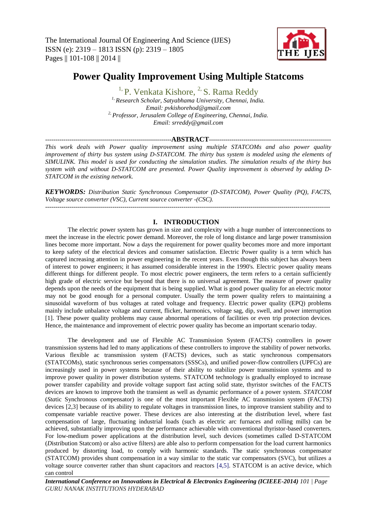

# **Power Quality Improvement Using Multiple Statcoms**

<sup>1,</sup> P. Venkata Kishore, <sup>2,</sup> S. Rama Reddy *1, Research Scholar, Satyabhama University, Chennai, India. Email: pvkishorehod@gmail.com 2, Professor, Jerusalem College of Engineering, Chennai, India. Email: srreddy@gmail.com*

### --------------------------------------------------------------**ABSTRACT**------------------------------------------------------------

*This work deals with Power quality improvement using multiple STATCOMs and also power quality improvement of thirty bus system using D-STATCOM. The thirty bus system is modeled using the elements of SIMULINK. This model is used for conducting the simulation studies. The simulation results of the thirty bus system with and without D-STATCOM are presented. Power Quality improvement is observed by adding D-STATCOM in the existing network.*

*KEYWORDS: Distribution Static Synchronous Compensator (D-STATCOM), Power Quality (PQ), FACTS, Voltage source converter (VSC), Current source converter -(CSC).*  --------------------------------------------------------------------------------------------------------------------------------------------

### **I. INTRODUCTION**

The electric power system has grown in size and complexity with a huge number of interconnections to meet the increase in the electric power demand. Moreover, the role of long distance and large power transmission lines become more important. Now a days the requirement for power quality becomes more and more important to keep safety of the electrical devices and consumer satisfaction. Electric Power quality is a term which has captured increasing attention in power engineering in the recent years. Even though this subject has always been of interest to power engineers; it has assumed considerable interest in the 1990's. Electric power quality means different things for different people. To most electric power engineers, the term refers to a certain sufficiently high grade of electric service but beyond that there is no universal agreement. The measure of power quality depends upon the needs of the equipment that is being supplied. What is good power quality for an electric motor may not be good enough for a personal computer. Usually the term power quality refers to maintaining a sinusoidal waveform of bus voltages at rated voltage and frequency. Electric power quality (EPQ) problems mainly include unbalance voltage and current, flicker, harmonics, voltage sag, dip, swell, and power interruption [1]. These power quality problems may cause abnormal operations of facilities or even trip protection devices. Hence, the maintenance and improvement of electric power quality has become an important scenario today.

The development and use of Flexible AC Transmission System (FACTS) controllers in power transmission systems had led to many applications of these controllers to improve the stability of power networks. Various flexible ac transmission system (FACTS) devices, such as static synchronous compensators (STATCOMs), static synchronous series compensators (SSSCs), and unified power-flow controllers (UPFCs) are increasingly used in power systems because of their ability to stabilize power transmission systems and to improve power quality in power distribution systems. STATCOM technology is gradually employed to increase power transfer capability and provide voltage support fast acting solid state, thyristor switches of the FACTS devices are known to improve both the transient as well as dynamic performance of a power system. *STATCOM*  (*Sta*tic Synchronous *com*pensator) is one of the most important Flexible AC transmission system (FACTS) devices [2,3] because of its ability to regulate voltages in transmission lines, to improve transient stability and to compensate variable reactive power. These devices are also interesting at the distribution level, where fast compensation of large, fluctuating industrial loads (such as electric arc furnaces and rolling mills) can be achieved, substantially improving upon the performance achievable with conventional thyristor-based converters. For low-medium power applications at the distribution level, such devices (sometimes called D-STATCOM (*D*istribution Statcom) or also active filters) are able also to perform compensation for the load current harmonics produced by distorting load, to comply with harmonic standards. The static synchronous compensator (STATCOM) provides shunt compensation in a way similar to the static var compensators (SVC), but utilizes a voltage source converter rather than shunt capacitors and reactors [4,5]. STATCOM is an active device, which can control

*International Conference on Innovations in Electrical & Electronics Engineering (ICIEEE-2014) 101 | Page GURU NANAK INSTITUTIONS HYDERABAD*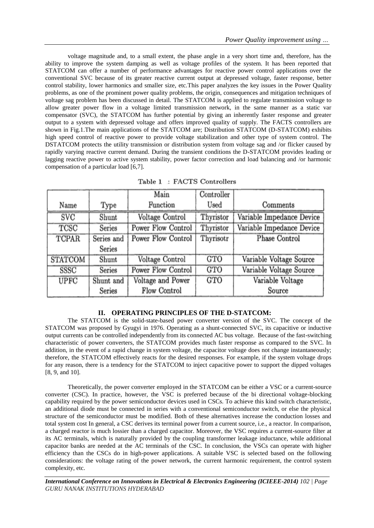voltage magnitude and, to a small extent, the phase angle in a very short time and, therefore, has the ability to improve the system damping as well as voltage profiles of the system. It has been reported that STATCOM can offer a number of performance advantages for reactive power control applications over the conventional SVC because of its greater reactive current output at depressed voltage, faster response, better control stability, lower harmonics and smaller size, etc.This paper analyzes the key issues in the Power Quality problems, as one of the prominent power quality problems, the origin, consequences and mitigation techniques of voltage sag problem has been discussed in detail. The STATCOM is applied to regulate transmission voltage to allow greater power flow in a voltage limited transmission network, in the same manner as a static var compensator (SVC), the STATCOM has further potential by giving an inherently faster response and greater output to a system with depressed voltage and offers improved quality of supply. The FACTS controllers are shown in Fig.1.The main applications of the STATCOM are; Distribution STATCOM (D-STATCOM) exhibits high speed control of reactive power to provide voltage stabilization and other type of system control. The DSTATCOM protects the utility transmission or distribution system from voltage sag and /or flicker caused by rapidly varying reactive current demand. During the transient conditions the D-STATCOM provides leading or lagging reactive power to active system stability, power factor correction and load balancing and /or harmonic compensation of a particular load [6,7].

|                |            | Main               | Controller    |                           |
|----------------|------------|--------------------|---------------|---------------------------|
| Name           | Type       | Function           | $_{\rm Used}$ | Comments                  |
| <b>SVC</b>     | Shunt      | Voltage Control    | Thyristor     | Variable Impedance Device |
| TCSC           | Series     | Power Flow Control | Thyristor     | Variable Impedance Device |
| <b>TCPAR</b>   | Series and | Power Flow Control | Thyrisotr     | Phase Control             |
|                | Series     |                    |               |                           |
| <b>STATCOM</b> | Shunt      | Voltage Control    | <b>GTO</b>    | Variable Voltage Source   |
| SSSC           | Series     | Power Flow Control | <b>GTO</b>    | Variable Voltage Source   |
| <b>UPFC</b>    | Shunt and  | Voltage and Power  | <b>GTO</b>    | Variable Voltage          |
|                | Series     | Flow Control       |               | Source                    |

Table 1 : FACTS Controllers

### **II. OPERATING PRINCIPLES OF THE D-STATCOM:**

The STATCOM is the solid-state-based power converter version of the SVC. The concept of the STATCOM was proposed by Gyugyi in 1976. Operating as a shunt-connected SVC, its capacitive or inductive output currents can be controlled independently from its connected AC bus voltage. Because of the fast-switching characteristic of power converters, the STATCOM provides much faster response as compared to the SVC. In addition, in the event of a rapid change in system voltage, the capacitor voltage does not change instantaneously; therefore, the STATCOM effectively reacts for the desired responses. For example, if the system voltage drops for any reason, there is a tendency for the STATCOM to inject capacitive power to support the dipped voltages [8, 9, and 10].

Theoretically, the power converter employed in the STATCOM can be either a VSC or a current-source converter (CSC). In practice, however, the VSC is preferred because of the bi directional voltage-blocking capability required by the power semiconductor devices used in CSCs. To achieve this kind switch characteristic, an additional diode must be connected in series with a conventional semiconductor switch, or else the physical structure of the semiconductor must be modified. Both of these alternatives increase the conduction losses and total system cost In general, a CSC derives its terminal power from a current source, i.e., a reactor. In comparison, a charged reactor is much lossier than a charged capacitor. Moreover, the VSC requires a current-source filter at its AC terminals, which is naturally provided by the coupling transformer leakage inductance, while additional capacitor banks are needed at the AC terminals of the CSC. In conclusion, the VSCs can operate with higher efficiency than the CSCs do in high-power applications. A suitable VSC is selected based on the following considerations: the voltage rating of the power network, the current harmonic requirement, the control system complexity, etc.

*International Conference on Innovations in Electrical & Electronics Engineering (ICIEEE-2014) 102 | Page GURU NANAK INSTITUTIONS HYDERABAD*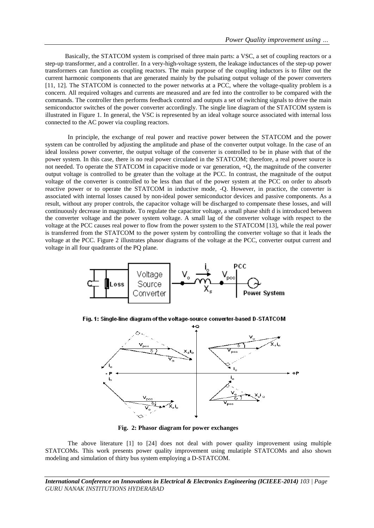Basically, the STATCOM system is comprised of three main parts: a VSC, a set of coupling reactors or a step-up transformer, and a controller. In a very-high-voltage system, the leakage inductances of the step-up power transformers can function as coupling reactors. The main purpose of the coupling inductors is to filter out the current harmonic components that are generated mainly by the pulsating output voltage of the power converters [11, 12]. The STATCOM is connected to the power networks at a PCC, where the voltage-quality problem is a concern. All required voltages and currents are measured and are fed into the controller to be compared with the commands. The controller then performs feedback control and outputs a set of switching signals to drive the main semiconductor switches of the power converter accordingly. The single line diagram of the STATCOM system is illustrated in Figure 1. In general, the VSC is represented by an ideal voltage source associated with internal loss connected to the AC power via coupling reactors.

In principle, the exchange of real power and reactive power between the STATCOM and the power system can be controlled by adjusting the amplitude and phase of the converter output voltage. In the case of an ideal lossless power converter, the output voltage of the converter is controlled to be in phase with that of the power system. In this case, there is no real power circulated in the STATCOM; therefore, a real power source is not needed. To operate the STATCOM in capacitive mode or var generation, +Q, the magnitude of the converter output voltage is controlled to be greater than the voltage at the PCC. In contrast, the magnitude of the output voltage of the converter is controlled to be less than that of the power system at the PCC on order to absorb reactive power or to operate the STATCOM in inductive mode, -Q. However, in practice, the converter is associated with internal losses caused by non-ideal power semiconductor devices and passive components. As a result, without any proper controls, the capacitor voltage will be discharged to compensate these losses, and will continuously decrease in magnitude. To regulate the capacitor voltage, a small phase shift d is introduced between the converter voltage and the power system voltage. A small lag of the converter voltage with respect to the voltage at the PCC causes real power to flow from the power system to the STATCOM [13], while the real power is transferred from the STATCOM to the power system by controlling the converter voltage so that it leads the voltage at the PCC. Figure 2 illustrates phasor diagrams of the voltage at the PCC, converter output current and voltage in all four quadrants of the PQ plane.



Fig. 1: Single-line diagram of the voltage-source converter-based D-STATCOM



 **Fig. 2: Phasor diagram for power exchanges** 

The above literature [1] to [24] does not deal with power quality improvement using multiple STATCOMs. This work presents power quality improvement using mulatiple STATCOMs and also shown modeling and simulation of thirty bus system employing a D-STATCOM.

*International Conference on Innovations in Electrical & Electronics Engineering (ICIEEE-2014) 103 | Page GURU NANAK INSTITUTIONS HYDERABAD*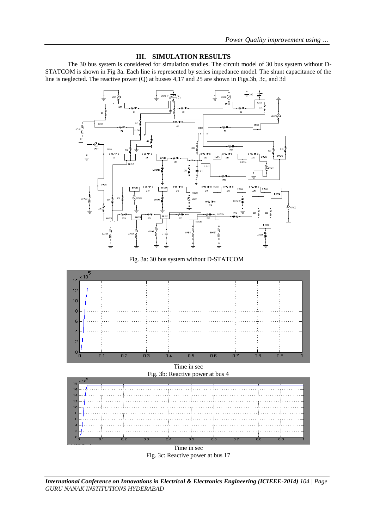## **III. SIMULATION RESULTS**

The 30 bus system is considered for simulation studies. The circuit model of 30 bus system without D-STATCOM is shown in Fig 3a. Each line is represented by series impedance model. The shunt capacitance of the line is neglected. The reactive power (Q) at busses 4,17 and 25 are shown in Figs.3b, 3c, and 3d







Fig. 3c: Reactive power at bus 17

*International Conference on Innovations in Electrical & Electronics Engineering (ICIEEE-2014) 104 | Page GURU NANAK INSTITUTIONS HYDERABAD*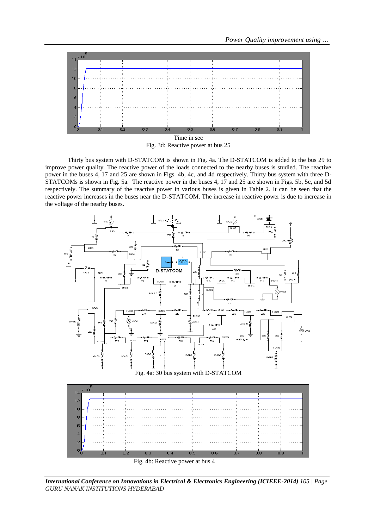

Time in sec Fig. 3d: Reactive power at bus 25

Thirty bus system with D-STATCOM is shown in Fig. 4a. The D-STATCOM is added to the bus 29 to improve power quality. The reactive power of the loads connected to the nearby buses is studied. The reactive power in the buses 4, 17 and 25 are shown in Figs. 4b, 4c, and 4d respectively. Thirty bus system with three D-STATCOMs is shown in Fig. 5a. The reactive power in the buses 4, 17 and 25 are shown in Figs. 5b, 5c, and 5d respectively. The summary of the reactive power in various buses is given in Table 2. It can be seen that the reactive power increases in the buses near the D-STATCOM. The increase in reactive power is due to increase in the voltage of the nearby buses.



*International Conference on Innovations in Electrical & Electronics Engineering (ICIEEE-2014) 105 | Page GURU NANAK INSTITUTIONS HYDERABAD*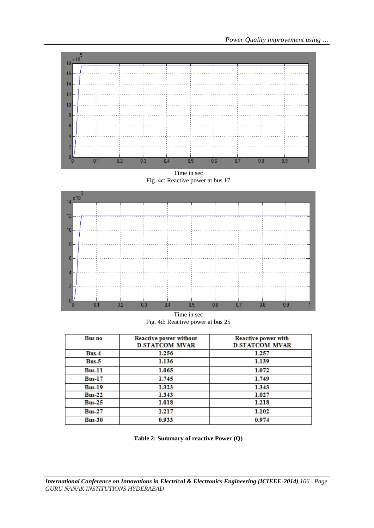

Time in sec Fig. 4c: Reactive power at bus 17



Time in sec Fig. 4d: Reactive power at bus 25

| <b>Bus</b> no | <b>Reactive power without</b><br><b>D-STATCOM MVAR</b> | Reactive power with<br><b>D-STATCOM MVAR</b> |
|---------------|--------------------------------------------------------|----------------------------------------------|
| $Bus-4$       | 1.256                                                  | 1.257                                        |
| $Bus-5$       | 1.136                                                  | 1.139                                        |
| $Bus-11$      | 1.065                                                  | 1.072                                        |
| <b>Bus-17</b> | 1.745                                                  | 1.749                                        |
| $Bus-19$      | 1.323                                                  | 1.343                                        |
| $Bus-22$      | 1.343                                                  | 1.027                                        |
| <b>Bus-25</b> | 1.018                                                  | 1.218                                        |
| <b>Bus-27</b> | 1.217                                                  | 1.102                                        |
| $Bus-30$      | 0.933                                                  | 0.974                                        |

**Table 2: Summary of reactive Power (Q)**

*International Conference on Innovations in Electrical & Electronics Engineering (ICIEEE-2014) 106 | Page GURU NANAK INSTITUTIONS HYDERABAD*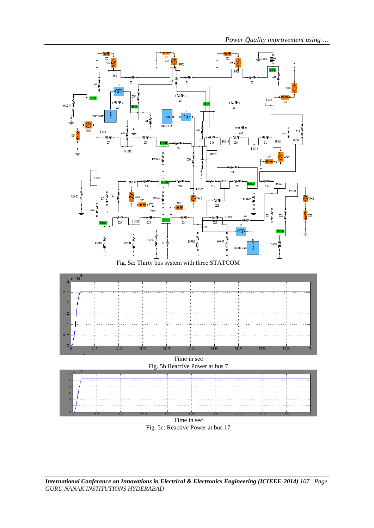*Power Quality improvement using …*





*International Conference on Innovations in Electrical & Electronics Engineering (ICIEEE-2014) 107 | Page GURU NANAK INSTITUTIONS HYDERABAD*